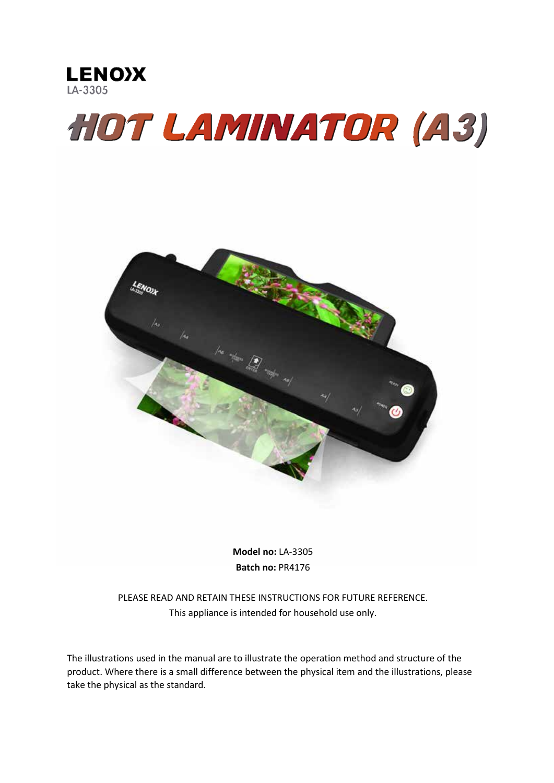

# **HOT LAMINATOR (A3)**



**Model no:** LA-3305 **Batch no:** PR4176

PLEASE READ AND RETAIN THESE INSTRUCTIONS FOR FUTURE REFERENCE. This appliance is intended for household use only.

The illustrations used in the manual are to illustrate the operation method and structure of the product. Where there is a small difference between the physical item and the illustrations, please take the physical as the standard.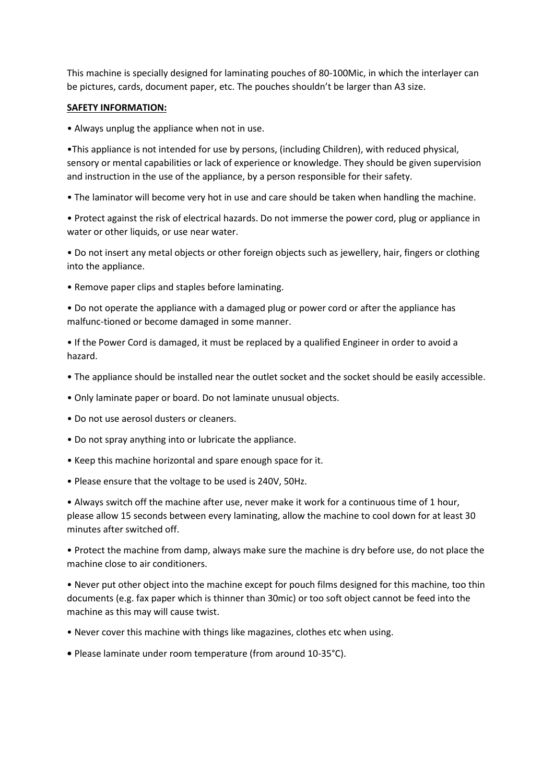This machine is specially designed for laminating pouches of 80-100Mic, in which the interlayer can be pictures, cards, document paper, etc. The pouches shouldn't be larger than A3 size.

# **SAFETY INFORMATION:**

• Always unplug the appliance when not in use.

•This appliance is not intended for use by persons, (including Children), with reduced physical, sensory or mental capabilities or lack of experience or knowledge. They should be given supervision and instruction in the use of the appliance, by a person responsible for their safety.

• The laminator will become very hot in use and care should be taken when handling the machine.

• Protect against the risk of electrical hazards. Do not immerse the power cord, plug or appliance in water or other liquids, or use near water.

• Do not insert any metal objects or other foreign objects such as jewellery, hair, fingers or clothing into the appliance.

• Remove paper clips and staples before laminating.

• Do not operate the appliance with a damaged plug or power cord or after the appliance has malfunc-tioned or become damaged in some manner.

• If the Power Cord is damaged, it must be replaced by a qualified Engineer in order to avoid a hazard.

- The appliance should be installed near the outlet socket and the socket should be easily accessible.
- Only laminate paper or board. Do not laminate unusual objects.
- Do not use aerosol dusters or cleaners.
- Do not spray anything into or lubricate the appliance.
- Keep this machine horizontal and spare enough space for it.
- Please ensure that the voltage to be used is 240V, 50Hz.

• Always switch off the machine after use, never make it work for a continuous time of 1 hour, please allow 15 seconds between every laminating, allow the machine to cool down for at least 30 minutes after switched off.

• Protect the machine from damp, always make sure the machine is dry before use, do not place the machine close to air conditioners.

• Never put other object into the machine except for pouch films designed for this machine, too thin documents (e.g. fax paper which is thinner than 30mic) or too soft object cannot be feed into the machine as this may will cause twist.

- Never cover this machine with things like magazines, clothes etc when using.
- Please laminate under room temperature (from around 10-35°C).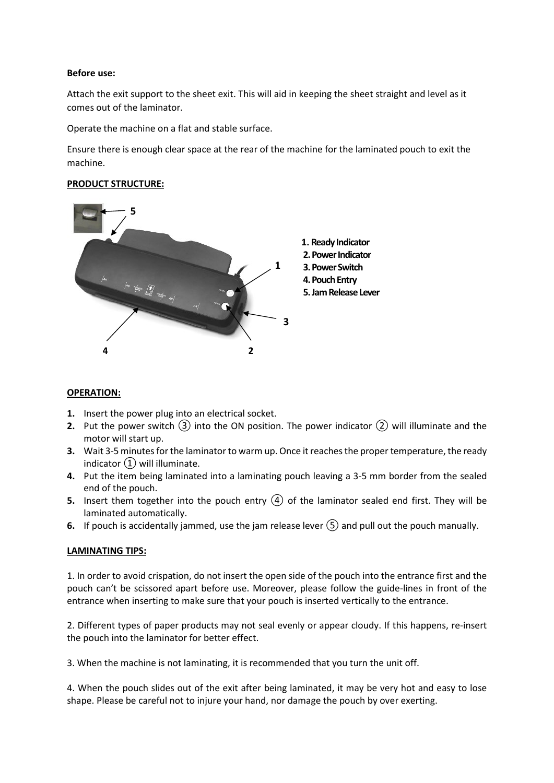#### **Before use:**

Attach the exit support to the sheet exit. This will aid in keeping the sheet straight and level as it comes out of the laminator.

Operate the machine on a flat and stable surface.

Ensure there is enough clear space at the rear of the machine for the laminated pouch to exit the machine.

#### **PRODUCT STRUCTURE:**



#### **OPERATION:**

- **1.** Insert the power plug into an electrical socket.
- **2.** Put the power switch  $(3)$  into the ON position. The power indicator  $(2)$  will illuminate and the motor will start up.
- **3.** Wait 3-5 minutes for the laminator to warm up. Once it reaches the proper temperature, the ready indicator  $\Omega$  will illuminate.
- **4.** Put the item being laminated into a laminating pouch leaving a 3-5 mm border from the sealed end of the pouch.
- **5.** Insert them together into the pouch entry  $\overline{A}$  of the laminator sealed end first. They will be laminated automatically.
- **6.** If pouch is accidentally jammed, use the jam release lever  $(\overline{S})$  and pull out the pouch manually.

#### **LAMINATING TIPS:**

1. In order to avoid crispation, do not insert the open side of the pouch into the entrance first and the pouch can't be scissored apart before use. Moreover, please follow the guide-lines in front of the entrance when inserting to make sure that your pouch is inserted vertically to the entrance.

2. Different types of paper products may not seal evenly or appear cloudy. If this happens, re-insert the pouch into the laminator for better effect.

3. When the machine is not laminating, it is recommended that you turn the unit off.

4. When the pouch slides out of the exit after being laminated, it may be very hot and easy to lose shape. Please be careful not to injure your hand, nor damage the pouch by over exerting.